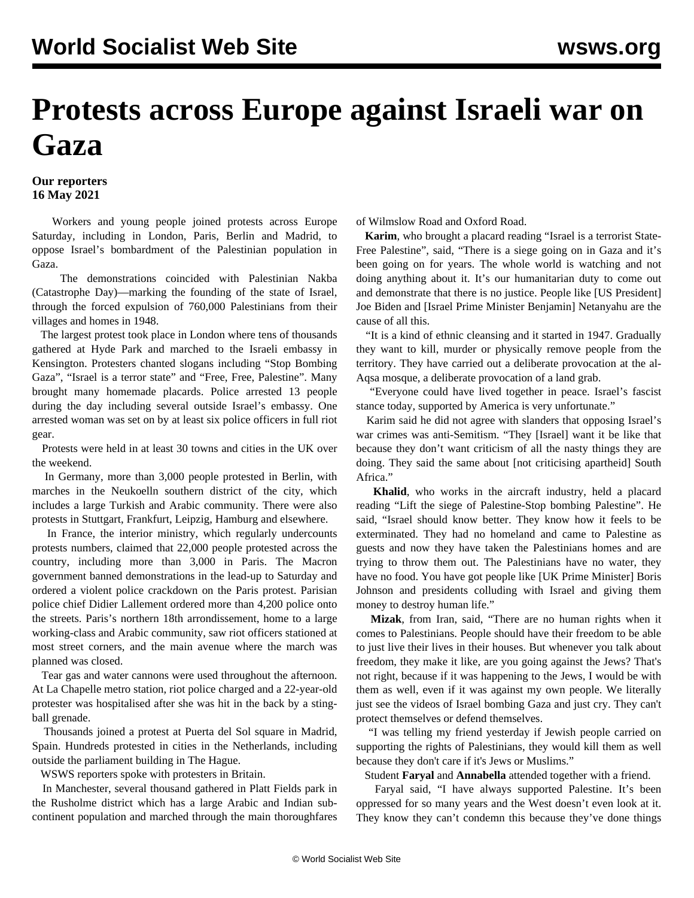## **Protests across Europe against Israeli war on Gaza**

## **Our reporters 16 May 2021**

 Workers and young people joined protests across Europe Saturday, including in London, Paris, Berlin and Madrid, to oppose Israel's bombardment of the Palestinian population in Gaza.

 The demonstrations coincided with Palestinian Nakba (Catastrophe Day)—marking the founding of the state of Israel, through the forced expulsion of 760,000 Palestinians from their villages and homes in 1948.

 The largest protest took place in London where tens of thousands gathered at Hyde Park and marched to the Israeli embassy in Kensington. Protesters chanted slogans including "Stop Bombing Gaza", "Israel is a terror state" and "Free, Free, Palestine". Many brought many homemade placards. Police arrested 13 people during the day including several outside Israel's embassy. One arrested woman was set on by at least six police officers in full riot gear.

 Protests were held in at least 30 towns and cities in the UK over the weekend.

 In Germany, more than 3,000 people protested in Berlin, with marches in the Neukoelln southern district of the city, which includes a large Turkish and Arabic community. There were also protests in Stuttgart, Frankfurt, Leipzig, Hamburg and elsewhere.

 In France, the interior ministry, which regularly undercounts protests numbers, claimed that 22,000 people protested across the country, including more than 3,000 in Paris. The Macron government banned demonstrations in the lead-up to Saturday and ordered a violent police crackdown on the Paris protest. Parisian police chief Didier Lallement ordered more than 4,200 police onto the streets. Paris's northern 18th arrondissement, home to a large working-class and Arabic community, saw riot officers stationed at most street corners, and the main avenue where the march was planned was closed.

 Tear gas and water cannons were used throughout the afternoon. At La Chapelle metro station, riot police charged and a 22-year-old protester was hospitalised after she was hit in the back by a stingball grenade.

 Thousands joined a protest at Puerta del Sol square in Madrid, Spain. Hundreds protested in cities in the Netherlands, including outside the parliament building in The Hague.

WSWS reporters spoke with protesters in Britain.

 In Manchester, several thousand gathered in Platt Fields park in the Rusholme district which has a large Arabic and Indian subcontinent population and marched through the main thoroughfares

of Wilmslow Road and Oxford Road.

 **Karim**, who brought a placard reading "Israel is a terrorist State-Free Palestine", said, "There is a siege going on in Gaza and it's been going on for years. The whole world is watching and not doing anything about it. It's our humanitarian duty to come out and demonstrate that there is no justice. People like [US President] Joe Biden and [Israel Prime Minister Benjamin] Netanyahu are the cause of all this.

 "It is a kind of ethnic cleansing and it started in 1947. Gradually they want to kill, murder or physically remove people from the territory. They have carried out a deliberate provocation at the al-Aqsa mosque, a deliberate provocation of a land grab.

 "Everyone could have lived together in peace. Israel's fascist stance today, supported by America is very unfortunate."

 Karim said he did not agree with slanders that opposing Israel's war crimes was anti-Semitism. "They [Israel] want it be like that because they don't want criticism of all the nasty things they are doing. They said the same about [not criticising apartheid] South Africa<sup>"</sup>

 **Khalid**, who works in the aircraft industry, held a placard reading "Lift the siege of Palestine-Stop bombing Palestine". He said, "Israel should know better. They know how it feels to be exterminated. They had no homeland and came to Palestine as guests and now they have taken the Palestinians homes and are trying to throw them out. The Palestinians have no water, they have no food. You have got people like [UK Prime Minister] Boris Johnson and presidents colluding with Israel and giving them money to destroy human life."

 **Mizak**, from Iran, said, "There are no human rights when it comes to Palestinians. People should have their freedom to be able to just live their lives in their houses. But whenever you talk about freedom, they make it like, are you going against the Jews? That's not right, because if it was happening to the Jews, I would be with them as well, even if it was against my own people. We literally just see the videos of Israel bombing Gaza and just cry. They can't protect themselves or defend themselves.

 "I was telling my friend yesterday if Jewish people carried on supporting the rights of Palestinians, they would kill them as well because they don't care if it's Jews or Muslims."

Student **Faryal** and **Annabella** attended together with a friend.

 Faryal said, "I have always supported Palestine. It's been oppressed for so many years and the West doesn't even look at it. They know they can't condemn this because they've done things